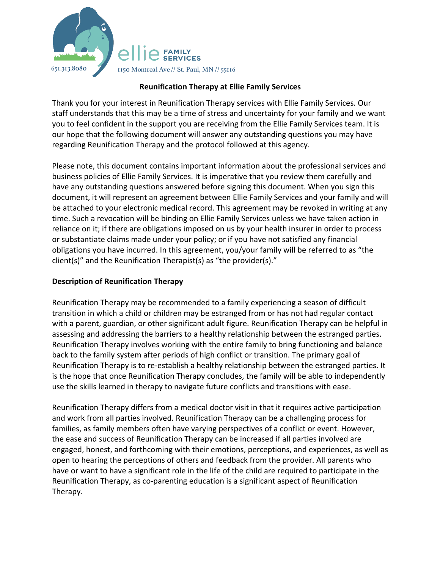

## **Reunification Therapy at Ellie Family Services**

Thank you for your interest in Reunification Therapy services with Ellie Family Services. Our staff understands that this may be a time of stress and uncertainty for your family and we want you to feel confident in the support you are receiving from the Ellie Family Services team. It is our hope that the following document will answer any outstanding questions you may have regarding Reunification Therapy and the protocol followed at this agency.

Please note, this document contains important information about the professional services and business policies of Ellie Family Services. It is imperative that you review them carefully and have any outstanding questions answered before signing this document. When you sign this document, it will represent an agreement between Ellie Family Services and your family and will be attached to your electronic medical record. This agreement may be revoked in writing at any time. Such a revocation will be binding on Ellie Family Services unless we have taken action in reliance on it; if there are obligations imposed on us by your health insurer in order to process or substantiate claims made under your policy; or if you have not satisfied any financial obligations you have incurred. In this agreement, you/your family will be referred to as "the client(s)" and the Reunification Therapist(s) as "the provider(s)."

## **Description of Reunification Therapy**

Reunification Therapy may be recommended to a family experiencing a season of difficult transition in which a child or children may be estranged from or has not had regular contact with a parent, guardian, or other significant adult figure. Reunification Therapy can be helpful in assessing and addressing the barriers to a healthy relationship between the estranged parties. Reunification Therapy involves working with the entire family to bring functioning and balance back to the family system after periods of high conflict or transition. The primary goal of Reunification Therapy is to re-establish a healthy relationship between the estranged parties. It is the hope that once Reunification Therapy concludes, the family will be able to independently use the skills learned in therapy to navigate future conflicts and transitions with ease.

Reunification Therapy differs from a medical doctor visit in that it requires active participation and work from all parties involved. Reunification Therapy can be a challenging process for families, as family members often have varying perspectives of a conflict or event. However, the ease and success of Reunification Therapy can be increased if all parties involved are engaged, honest, and forthcoming with their emotions, perceptions, and experiences, as well as open to hearing the perceptions of others and feedback from the provider. All parents who have or want to have a significant role in the life of the child are required to participate in the Reunification Therapy, as co-parenting education is a significant aspect of Reunification Therapy.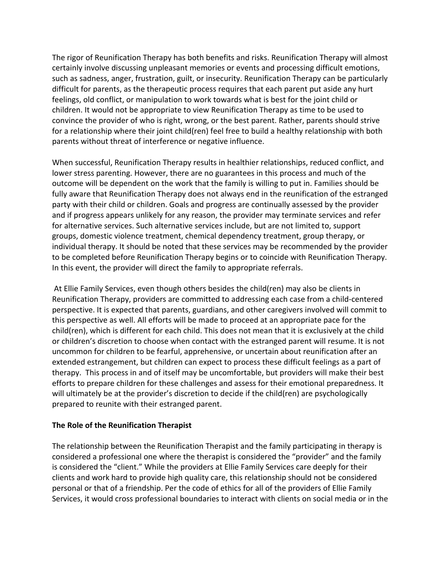The rigor of Reunification Therapy has both benefits and risks. Reunification Therapy will almost certainly involve discussing unpleasant memories or events and processing difficult emotions, such as sadness, anger, frustration, guilt, or insecurity. Reunification Therapy can be particularly difficult for parents, as the therapeutic process requires that each parent put aside any hurt feelings, old conflict, or manipulation to work towards what is best for the joint child or children. It would not be appropriate to view Reunification Therapy as time to be used to convince the provider of who is right, wrong, or the best parent. Rather, parents should strive for a relationship where their joint child(ren) feel free to build a healthy relationship with both parents without threat of interference or negative influence.

When successful, Reunification Therapy results in healthier relationships, reduced conflict, and lower stress parenting. However, there are no guarantees in this process and much of the outcome will be dependent on the work that the family is willing to put in. Families should be fully aware that Reunification Therapy does not always end in the reunification of the estranged party with their child or children. Goals and progress are continually assessed by the provider and if progress appears unlikely for any reason, the provider may terminate services and refer for alternative services. Such alternative services include, but are not limited to, support groups, domestic violence treatment, chemical dependency treatment, group therapy, or individual therapy. It should be noted that these services may be recommended by the provider to be completed before Reunification Therapy begins or to coincide with Reunification Therapy. In this event, the provider will direct the family to appropriate referrals.

At Ellie Family Services, even though others besides the child(ren) may also be clients in Reunification Therapy, providers are committed to addressing each case from a child-centered perspective. It is expected that parents, guardians, and other caregivers involved will commit to this perspective as well. All efforts will be made to proceed at an appropriate pace for the child(ren), which is different for each child. This does not mean that it is exclusively at the child or children's discretion to choose when contact with the estranged parent will resume. It is not uncommon for children to be fearful, apprehensive, or uncertain about reunification after an extended estrangement, but children can expect to process these difficult feelings as a part of therapy. This process in and of itself may be uncomfortable, but providers will make their best efforts to prepare children for these challenges and assess for their emotional preparedness. It will ultimately be at the provider's discretion to decide if the child(ren) are psychologically prepared to reunite with their estranged parent.

#### **The Role of the Reunification Therapist**

The relationship between the Reunification Therapist and the family participating in therapy is considered a professional one where the therapist is considered the "provider" and the family is considered the "client." While the providers at Ellie Family Services care deeply for their clients and work hard to provide high quality care, this relationship should not be considered personal or that of a friendship. Per the code of ethics for all of the providers of Ellie Family Services, it would cross professional boundaries to interact with clients on social media or in the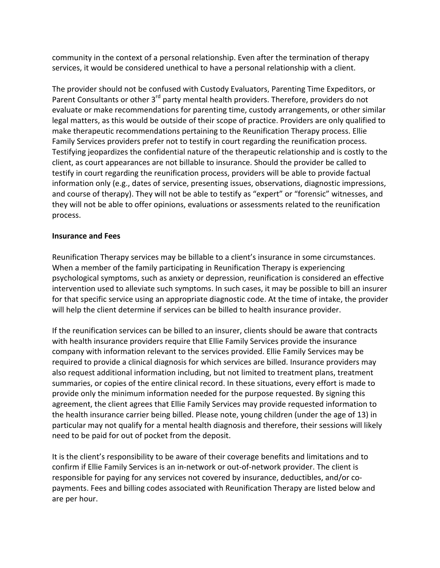community in the context of a personal relationship. Even after the termination of therapy services, it would be considered unethical to have a personal relationship with a client.

The provider should not be confused with Custody Evaluators, Parenting Time Expeditors, or Parent Consultants or other 3<sup>rd</sup> party mental health providers. Therefore, providers do not evaluate or make recommendations for parenting time, custody arrangements, or other similar legal matters, as this would be outside of their scope of practice. Providers are only qualified to make therapeutic recommendations pertaining to the Reunification Therapy process. Ellie Family Services providers prefer not to testify in court regarding the reunification process. Testifying jeopardizes the confidential nature of the therapeutic relationship and is costly to the client, as court appearances are not billable to insurance. Should the provider be called to testify in court regarding the reunification process, providers will be able to provide factual information only (e.g., dates of service, presenting issues, observations, diagnostic impressions, and course of therapy). They will not be able to testify as "expert" or "forensic" witnesses, and they will not be able to offer opinions, evaluations or assessments related to the reunification process.

#### **Insurance and Fees**

Reunification Therapy services may be billable to a client's insurance in some circumstances. When a member of the family participating in Reunification Therapy is experiencing psychological symptoms, such as anxiety or depression, reunification is considered an effective intervention used to alleviate such symptoms. In such cases, it may be possible to bill an insurer for that specific service using an appropriate diagnostic code. At the time of intake, the provider will help the client determine if services can be billed to health insurance provider.

If the reunification services can be billed to an insurer, clients should be aware that contracts with health insurance providers require that Ellie Family Services provide the insurance company with information relevant to the services provided. Ellie Family Services may be required to provide a clinical diagnosis for which services are billed. Insurance providers may also request additional information including, but not limited to treatment plans, treatment summaries, or copies of the entire clinical record. In these situations, every effort is made to provide only the minimum information needed for the purpose requested. By signing this agreement, the client agrees that Ellie Family Services may provide requested information to the health insurance carrier being billed. Please note, young children (under the age of 13) in particular may not qualify for a mental health diagnosis and therefore, their sessions will likely need to be paid for out of pocket from the deposit.

It is the client's responsibility to be aware of their coverage benefits and limitations and to confirm if Ellie Family Services is an in-network or out-of-network provider. The client is responsible for paying for any services not covered by insurance, deductibles, and/or copayments. Fees and billing codes associated with Reunification Therapy are listed below and are per hour.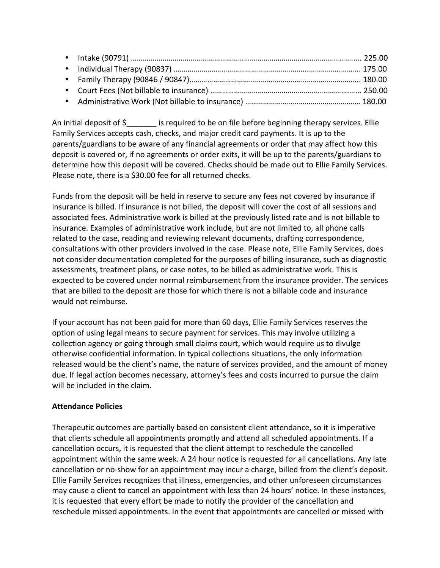An initial deposit of  $\oint$  is required to be on file before beginning therapy services. Ellie Family Services accepts cash, checks, and major credit card payments. It is up to the parents/guardians to be aware of any financial agreements or order that may affect how this deposit is covered or, if no agreements or order exits, it will be up to the parents/guardians to determine how this deposit will be covered. Checks should be made out to Ellie Family Services. Please note, there is a \$30.00 fee for all returned checks.

Funds from the deposit will be held in reserve to secure any fees not covered by insurance if insurance is billed. If insurance is not billed, the deposit will cover the cost of all sessions and associated fees. Administrative work is billed at the previously listed rate and is not billable to insurance. Examples of administrative work include, but are not limited to, all phone calls related to the case, reading and reviewing relevant documents, drafting correspondence, consultations with other providers involved in the case. Please note, Ellie Family Services, does not consider documentation completed for the purposes of billing insurance, such as diagnostic assessments, treatment plans, or case notes, to be billed as administrative work. This is expected to be covered under normal reimbursement from the insurance provider. The services that are billed to the deposit are those for which there is not a billable code and insurance would not reimburse.

If your account has not been paid for more than 60 days, Ellie Family Services reserves the option of using legal means to secure payment for services. This may involve utilizing a collection agency or going through small claims court, which would require us to divulge otherwise confidential information. In typical collections situations, the only information released would be the client's name, the nature of services provided, and the amount of money due. If legal action becomes necessary, attorney's fees and costs incurred to pursue the claim will be included in the claim.

# **Attendance Policies**

Therapeutic outcomes are partially based on consistent client attendance, so it is imperative that clients schedule all appointments promptly and attend all scheduled appointments. If a cancellation occurs, it is requested that the client attempt to reschedule the cancelled appointment within the same week. A 24 hour notice is requested for all cancellations. Any late cancellation or no-show for an appointment may incur a charge, billed from the client's deposit. Ellie Family Services recognizes that illness, emergencies, and other unforeseen circumstances may cause a client to cancel an appointment with less than 24 hours' notice. In these instances, it is requested that every effort be made to notify the provider of the cancellation and reschedule missed appointments. In the event that appointments are cancelled or missed with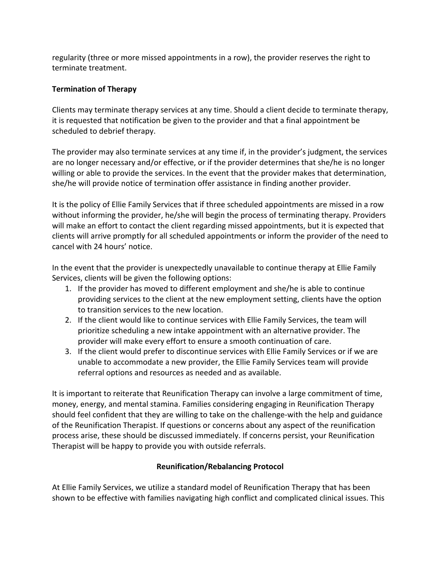regularity (three or more missed appointments in a row), the provider reserves the right to terminate treatment.

# **Termination of Therapy**

Clients may terminate therapy services at any time. Should a client decide to terminate therapy, it is requested that notification be given to the provider and that a final appointment be scheduled to debrief therapy.

The provider may also terminate services at any time if, in the provider's judgment, the services are no longer necessary and/or effective, or if the provider determines that she/he is no longer willing or able to provide the services. In the event that the provider makes that determination, she/he will provide notice of termination offer assistance in finding another provider.

It is the policy of Ellie Family Services that if three scheduled appointments are missed in a row without informing the provider, he/she will begin the process of terminating therapy. Providers will make an effort to contact the client regarding missed appointments, but it is expected that clients will arrive promptly for all scheduled appointments or inform the provider of the need to cancel with 24 hours' notice.

In the event that the provider is unexpectedly unavailable to continue therapy at Ellie Family Services, clients will be given the following options:

- 1. If the provider has moved to different employment and she/he is able to continue providing services to the client at the new employment setting, clients have the option to transition services to the new location.
- 2. If the client would like to continue services with Ellie Family Services, the team will prioritize scheduling a new intake appointment with an alternative provider. The provider will make every effort to ensure a smooth continuation of care.
- 3. If the client would prefer to discontinue services with Ellie Family Services or if we are unable to accommodate a new provider, the Ellie Family Services team will provide referral options and resources as needed and as available.

It is important to reiterate that Reunification Therapy can involve a large commitment of time, money, energy, and mental stamina. Families considering engaging in Reunification Therapy should feel confident that they are willing to take on the challenge-with the help and guidance of the Reunification Therapist. If questions or concerns about any aspect of the reunification process arise, these should be discussed immediately. If concerns persist, your Reunification Therapist will be happy to provide you with outside referrals.

# **Reunification/Rebalancing Protocol**

At Ellie Family Services, we utilize a standard model of Reunification Therapy that has been shown to be effective with families navigating high conflict and complicated clinical issues. This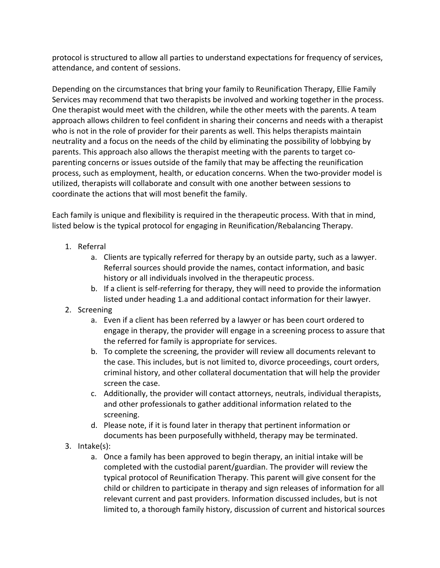protocol is structured to allow all parties to understand expectations for frequency of services, attendance, and content of sessions.

Depending on the circumstances that bring your family to Reunification Therapy, Ellie Family Services may recommend that two therapists be involved and working together in the process. One therapist would meet with the children, while the other meets with the parents. A team approach allows children to feel confident in sharing their concerns and needs with a therapist who is not in the role of provider for their parents as well. This helps therapists maintain neutrality and a focus on the needs of the child by eliminating the possibility of lobbying by parents. This approach also allows the therapist meeting with the parents to target coparenting concerns or issues outside of the family that may be affecting the reunification process, such as employment, health, or education concerns. When the two-provider model is utilized, therapists will collaborate and consult with one another between sessions to coordinate the actions that will most benefit the family.

Each family is unique and flexibility is required in the therapeutic process. With that in mind, listed below is the typical protocol for engaging in Reunification/Rebalancing Therapy.

- 1. Referral
	- a. Clients are typically referred for therapy by an outside party, such as a lawyer. Referral sources should provide the names, contact information, and basic history or all individuals involved in the therapeutic process.
	- b. If a client is self-referring for therapy, they will need to provide the information listed under heading 1.a and additional contact information for their lawyer.
- 2. Screening
	- a. Even if a client has been referred by a lawyer or has been court ordered to engage in therapy, the provider will engage in a screening process to assure that the referred for family is appropriate for services.
	- b. To complete the screening, the provider will review all documents relevant to the case. This includes, but is not limited to, divorce proceedings, court orders, criminal history, and other collateral documentation that will help the provider screen the case.
	- c. Additionally, the provider will contact attorneys, neutrals, individual therapists, and other professionals to gather additional information related to the screening.
	- d. Please note, if it is found later in therapy that pertinent information or documents has been purposefully withheld, therapy may be terminated.
- 3. Intake(s):
	- a. Once a family has been approved to begin therapy, an initial intake will be completed with the custodial parent/guardian. The provider will review the typical protocol of Reunification Therapy. This parent will give consent for the child or children to participate in therapy and sign releases of information for all relevant current and past providers. Information discussed includes, but is not limited to, a thorough family history, discussion of current and historical sources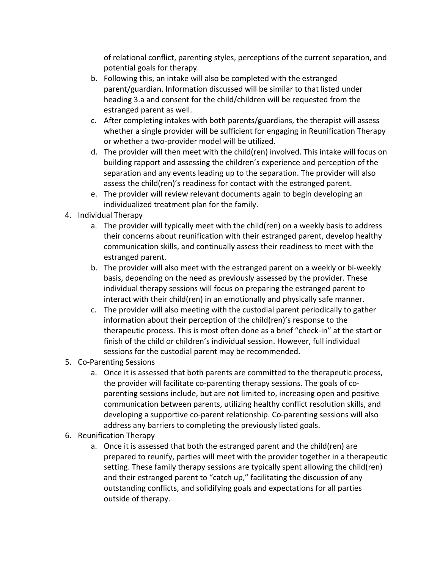of relational conflict, parenting styles, perceptions of the current separation, and potential goals for therapy.

- b. Following this, an intake will also be completed with the estranged parent/guardian. Information discussed will be similar to that listed under heading 3.a and consent for the child/children will be requested from the estranged parent as well.
- c. After completing intakes with both parents/guardians, the therapist will assess whether a single provider will be sufficient for engaging in Reunification Therapy or whether a two-provider model will be utilized.
- d. The provider will then meet with the child(ren) involved. This intake will focus on building rapport and assessing the children's experience and perception of the separation and any events leading up to the separation. The provider will also assess the child(ren)'s readiness for contact with the estranged parent.
- e. The provider will review relevant documents again to begin developing an individualized treatment plan for the family.
- 4. Individual Therapy
	- a. The provider will typically meet with the child(ren) on a weekly basis to address their concerns about reunification with their estranged parent, develop healthy communication skills, and continually assess their readiness to meet with the estranged parent.
	- b. The provider will also meet with the estranged parent on a weekly or bi-weekly basis, depending on the need as previously assessed by the provider. These individual therapy sessions will focus on preparing the estranged parent to interact with their child(ren) in an emotionally and physically safe manner.
	- c. The provider will also meeting with the custodial parent periodically to gather information about their perception of the child(ren)'s response to the therapeutic process. This is most often done as a brief "check-in" at the start or finish of the child or children's individual session. However, full individual sessions for the custodial parent may be recommended.
- 5. Co-Parenting Sessions
	- a. Once it is assessed that both parents are committed to the therapeutic process, the provider will facilitate co-parenting therapy sessions. The goals of coparenting sessions include, but are not limited to, increasing open and positive communication between parents, utilizing healthy conflict resolution skills, and developing a supportive co-parent relationship. Co-parenting sessions will also address any barriers to completing the previously listed goals.
- 6. Reunification Therapy
	- a. Once it is assessed that both the estranged parent and the child(ren) are prepared to reunify, parties will meet with the provider together in a therapeutic setting. These family therapy sessions are typically spent allowing the child(ren) and their estranged parent to "catch up," facilitating the discussion of any outstanding conflicts, and solidifying goals and expectations for all parties outside of therapy.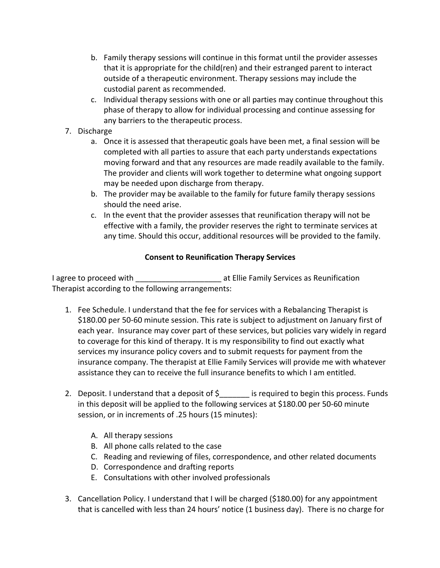- b. Family therapy sessions will continue in this format until the provider assesses that it is appropriate for the child(ren) and their estranged parent to interact outside of a therapeutic environment. Therapy sessions may include the custodial parent as recommended.
- c. Individual therapy sessions with one or all parties may continue throughout this phase of therapy to allow for individual processing and continue assessing for any barriers to the therapeutic process.
- 7. Discharge
	- a. Once it is assessed that therapeutic goals have been met, a final session will be completed with all parties to assure that each party understands expectations moving forward and that any resources are made readily available to the family. The provider and clients will work together to determine what ongoing support may be needed upon discharge from therapy.
	- b. The provider may be available to the family for future family therapy sessions should the need arise.
	- c. In the event that the provider assesses that reunification therapy will not be effective with a family, the provider reserves the right to terminate services at any time. Should this occur, additional resources will be provided to the family.

# **Consent to Reunification Therapy Services**

I agree to proceed with \_\_\_\_\_\_\_\_\_\_\_\_\_\_\_\_\_\_\_\_\_\_ at Ellie Family Services as Reunification Therapist according to the following arrangements:

- 1. Fee Schedule. I understand that the fee for services with a Rebalancing Therapist is \$180.00 per 50-60 minute session. This rate is subject to adjustment on January first of each year. Insurance may cover part of these services, but policies vary widely in regard to coverage for this kind of therapy. It is my responsibility to find out exactly what services my insurance policy covers and to submit requests for payment from the insurance company. The therapist at Ellie Family Services will provide me with whatever assistance they can to receive the full insurance benefits to which I am entitled.
- 2. Deposit. I understand that a deposit of  $\oint$  is required to begin this process. Funds in this deposit will be applied to the following services at \$180.00 per 50-60 minute session, or in increments of .25 hours (15 minutes):
	- A. All therapy sessions
	- B. All phone calls related to the case
	- C. Reading and reviewing of files, correspondence, and other related documents
	- D. Correspondence and drafting reports
	- E. Consultations with other involved professionals
- 3. Cancellation Policy. I understand that I will be charged (\$180.00) for any appointment that is cancelled with less than 24 hours' notice  $(1 \text{ business day})$ . There is no charge for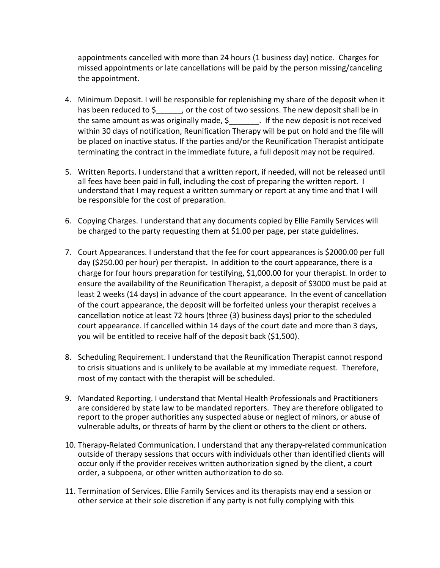appointments cancelled with more than 24 hours (1 business day) notice. Charges for missed appointments or late cancellations will be paid by the person missing/canceling the appointment.

- 4. Minimum Deposit. I will be responsible for replenishing my share of the deposit when it has been reduced to  $\frac{2}{2}$ , or the cost of two sessions. The new deposit shall be in the same amount as was originally made,  $\frac{1}{2}$   $\frac{1}{2}$  If the new deposit is not received within 30 days of notification, Reunification Therapy will be put on hold and the file will be placed on inactive status. If the parties and/or the Reunification Therapist anticipate terminating the contract in the immediate future, a full deposit may not be required.
- 5. Written Reports. I understand that a written report, if needed, will not be released until all fees have been paid in full, including the cost of preparing the written report. I understand that I may request a written summary or report at any time and that I will be responsible for the cost of preparation.
- 6. Copying Charges. I understand that any documents copied by Ellie Family Services will be charged to the party requesting them at \$1.00 per page, per state guidelines.
- 7. Court Appearances. I understand that the fee for court appearances is \$2000.00 per full day (\$250.00 per hour) per therapist. In addition to the court appearance, there is a charge for four hours preparation for testifying,  $$1,000.00$  for your therapist. In order to ensure the availability of the Reunification Therapist, a deposit of \$3000 must be paid at least 2 weeks (14 days) in advance of the court appearance. In the event of cancellation of the court appearance, the deposit will be forfeited unless your therapist receives a cancellation notice at least 72 hours (three (3) business days) prior to the scheduled court appearance. If cancelled within 14 days of the court date and more than 3 days, you will be entitled to receive half of the deposit back (\$1,500).
- 8. Scheduling Requirement. I understand that the Reunification Therapist cannot respond to crisis situations and is unlikely to be available at my immediate request. Therefore, most of my contact with the therapist will be scheduled.
- 9. Mandated Reporting. I understand that Mental Health Professionals and Practitioners are considered by state law to be mandated reporters. They are therefore obligated to report to the proper authorities any suspected abuse or neglect of minors, or abuse of vulnerable adults, or threats of harm by the client or others to the client or others.
- 10. Therapy-Related Communication. I understand that any therapy-related communication outside of therapy sessions that occurs with individuals other than identified clients will occur only if the provider receives written authorization signed by the client, a court order, a subpoena, or other written authorization to do so.
- 11. Termination of Services. Ellie Family Services and its therapists may end a session or other service at their sole discretion if any party is not fully complying with this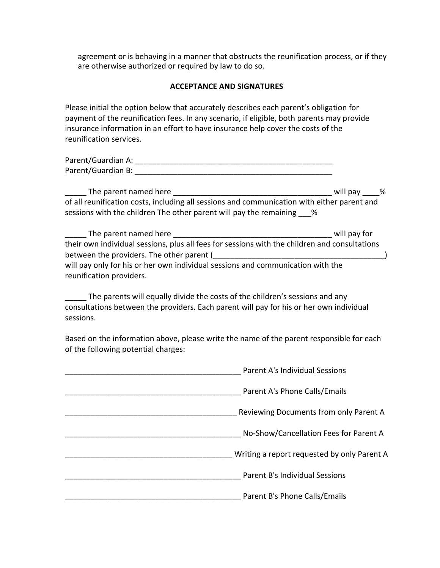agreement or is behaving in a manner that obstructs the reunification process, or if they are otherwise authorized or required by law to do so.

#### **ACCEPTANCE AND SIGNATURES**

Please initial the option below that accurately describes each parent's obligation for payment of the reunification fees. In any scenario, if eligible, both parents may provide insurance information in an effort to have insurance help cover the costs of the reunification services.

| Parent/Guardian A: |  |
|--------------------|--|
| Parent/Guardian B: |  |

\_\_\_\_\_ The parent named here \_\_\_\_\_\_\_\_\_\_\_\_\_\_\_\_\_\_\_\_\_\_\_\_\_\_\_\_\_\_\_\_\_\_\_\_\_ will pay \_\_\_\_% of all reunification costs, including all sessions and communication with either parent and sessions with the children The other parent will pay the remaining 18

| The parent named here                                                                         | will pay for |
|-----------------------------------------------------------------------------------------------|--------------|
| their own individual sessions, plus all fees for sessions with the children and consultations |              |
| between the providers. The other parent (                                                     |              |
| will pay only for his or her own individual sessions and communication with the               |              |
| reunification providers.                                                                      |              |

The parents will equally divide the costs of the children's sessions and any consultations between the providers. Each parent will pay for his or her own individual sessions.

Based on the information above, please write the name of the parent responsible for each of the following potential charges:

| Parent A's Individual Sessions              |
|---------------------------------------------|
| Parent A's Phone Calls/Emails               |
| Reviewing Documents from only Parent A      |
| No-Show/Cancellation Fees for Parent A      |
| Writing a report requested by only Parent A |
| Parent B's Individual Sessions              |
| Parent B's Phone Calls/Emails               |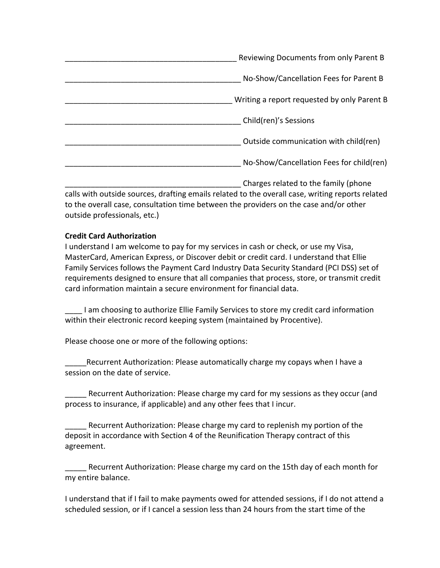| Reviewing Documents from only Parent B      |
|---------------------------------------------|
| No-Show/Cancellation Fees for Parent B      |
| Writing a report requested by only Parent B |
| Child(ren)'s Sessions                       |
| Outside communication with child(ren)       |
| No-Show/Cancellation Fees for child(ren)    |
| Charges related to the family (phone        |

calls with outside sources, drafting emails related to the overall case, writing reports related to the overall case, consultation time between the providers on the case and/or other outside professionals, etc.)

## **Credit Card Authorization**

I understand I am welcome to pay for my services in cash or check, or use my Visa, MasterCard, American Express, or Discover debit or credit card. I understand that Ellie Family Services follows the Payment Card Industry Data Security Standard (PCI DSS) set of requirements designed to ensure that all companies that process, store, or transmit credit card information maintain a secure environment for financial data.

I am choosing to authorize Ellie Family Services to store my credit card information within their electronic record keeping system (maintained by Procentive).

Please choose one or more of the following options:

Recurrent Authorization: Please automatically charge my copays when I have a session on the date of service.

Recurrent Authorization: Please charge my card for my sessions as they occur (and process to insurance, if applicable) and any other fees that I incur.

Recurrent Authorization: Please charge my card to replenish my portion of the deposit in accordance with Section 4 of the Reunification Therapy contract of this agreement.

Recurrent Authorization: Please charge my card on the 15th day of each month for my entire balance.

I understand that if I fail to make payments owed for attended sessions, if I do not attend a scheduled session, or if I cancel a session less than 24 hours from the start time of the